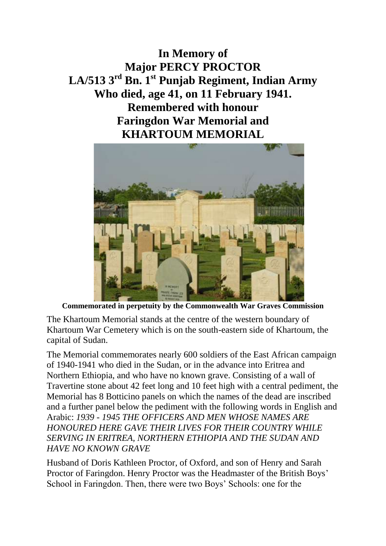**In Memory of Major PERCY PROCTOR LA/513 3rd Bn. 1st Punjab Regiment, Indian Army Who died, age 41, on 11 February 1941. Remembered with honour Faringdon War Memorial and KHARTOUM MEMORIAL**



**Commemorated in perpetuity by the Commonwealth War Graves Commission** 

The Khartoum Memorial stands at the centre of the western boundary of Khartoum War Cemetery which is on the south-eastern side of Khartoum, the capital of Sudan.

The Memorial commemorates nearly 600 soldiers of the East African campaign of 1940-1941 who died in the Sudan, or in the advance into Eritrea and Northern Ethiopia, and who have no known grave. Consisting of a wall of Travertine stone about 42 feet long and 10 feet high with a central pediment, the Memorial has 8 Botticino panels on which the names of the dead are inscribed and a further panel below the pediment with the following words in English and Arabic: *1939 - 1945 THE OFFICERS AND MEN WHOSE NAMES ARE HONOURED HERE GAVE THEIR LIVES FOR THEIR COUNTRY WHILE SERVING IN ERITREA, NORTHERN ETHIOPIA AND THE SUDAN AND HAVE NO KNOWN GRAVE*

Husband of Doris Kathleen Proctor, of Oxford, and son of Henry and Sarah Proctor of Faringdon. Henry Proctor was the Headmaster of the British Boys' School in Faringdon. Then, there were two Boys' Schools: one for the